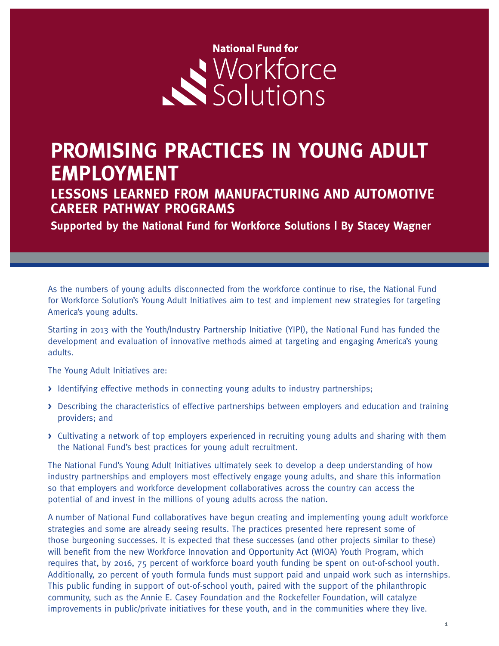# **National Fund for** Workforce

## **PROMISING PRACTICES IN YOUNG ADULT EMPLOYMENT**

**LESSONS LEARNED FROM MANUFACTURING AND AUTOMOTIVE CAREER PATHWAY PROGRAMS**

**Supported by the National Fund for Workforce Solutions | By Stacey Wagner**

As the numbers of young adults disconnected from the workforce continue to rise, the National Fund for Workforce Solution's Young Adult Initiatives aim to test and implement new strategies for targeting America's young adults.

Starting in 2013 with the Youth/Industry Partnership Initiative (YIPI), the National Fund has funded the development and evaluation of innovative methods aimed at targeting and engaging America's young adults.

The Young Adult Initiatives are:

- **>** Identifying effective methods in connecting young adults to industry partnerships;
- **>** Describing the characteristics of effective partnerships between employers and education and training providers; and
- **>** Cultivating a network of top employers experienced in recruiting young adults and sharing with them the National Fund's best practices for young adult recruitment.

The National Fund's Young Adult Initiatives ultimately seek to develop a deep understanding of how industry partnerships and employers most effectively engage young adults, and share this information so that employers and workforce development collaboratives across the country can access the potential of and invest in the millions of young adults across the nation.

A number of National Fund collaboratives have begun creating and implementing young adult workforce strategies and some are already seeing results. The practices presented here represent some of those burgeoning successes. It is expected that these successes (and other projects similar to these) will benefit from the new Workforce Innovation and Opportunity Act (WIOA) Youth Program, which requires that, by 2016, 75 percent of workforce board youth funding be spent on out-of-school youth. Additionally, 20 percent of youth formula funds must support paid and unpaid work such as internships. This public funding in support of out-of-school youth, paired with the support of the philanthropic community, such as the Annie E. Casey Foundation and the Rockefeller Foundation, will catalyze improvements in public/private initiatives for these youth, and in the communities where they live.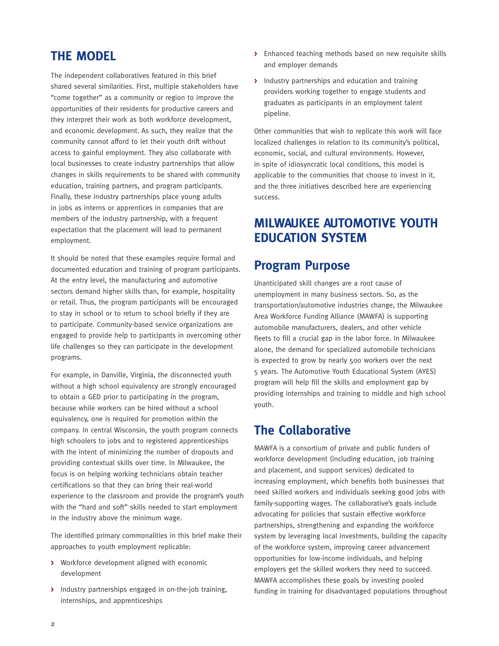#### **THE MODEL**

The independent collaboratives featured in this brief shared several similarities. First, multiple stakeholders have "come together" as a community or region to improve the opportunities of their residents for productive careers and they interpret their work as both workforce development, and economic development. As such, they realize that the community cannot afford to let their youth drift without access to gainful employment. They also collaborate with local businesses to create industry partnerships that allow changes in skills requirements to be shared with community education, training partners, and program participants. Finally, these industry partnerships place young adults in jobs as interns or apprentices in companies that are members of the industry partnership, with a frequent expectation that the placement will lead to permanent employment.

It should be noted that these examples require formal and documented education and training of program participants. At the entry level, the manufacturing and automotive sectors demand higher skills than, for example, hospitality or retail. Thus, the program participants will be encouraged to stay in school or to return to school briefly if they are to participate. Community-based service organizations are engaged to provide help to participants in overcoming other life challenges so they can participate in the development programs.

For example, in Danville, Virginia, the disconnected youth without a high school equivalency are strongly encouraged to obtain a GED prior to participating in the program, because while workers can be hired without a school equivalency, one is required for promotion within the company. In central Wisconsin, the youth program connects high schoolers to jobs and to registered apprenticeships with the intent of minimizing the number of dropouts and providing contextual skills over time. In Milwaukee, the focus is on helping working technicians obtain teacher certifications so that they can bring their real-world experience to the classroom and provide the program's youth with the "hard and soft" skills needed to start employment in the industry above the minimum wage.

The identified primary commonalities in this brief make their approaches to youth employment replicable:

- **>** Workforce development aligned with economic development
- **>** Industry partnerships engaged in on-the-job training, internships, and apprenticeships
- **>** Enhanced teaching methods based on new requisite skills and employer demands
- **>** Industry partnerships and education and training providers working together to engage students and graduates as participants in an employment talent pipeline.

Other communities that wish to replicate this work will face localized challenges in relation to its community's political, economic, social, and cultural environments. However, in spite of idiosyncratic local conditions, this model is applicable to the communities that choose to invest in it, and the three initiatives described here are experiencing success.

#### **MILWAUKEE AUTOMOTIVE YOUTH EDUCATION SYSTEM**

#### **Program Purpose**

Unanticipated skill changes are a root cause of unemployment in many business sectors. So, as the transportation/automotive industries change, the Milwaukee Area Workforce Funding Alliance (MAWFA) is supporting automobile manufacturers, dealers, and other vehicle fleets to fill a crucial gap in the labor force. In Milwaukee alone, the demand for specialized automobile technicians is expected to grow by nearly 500 workers over the next 5 years. The Automotive Youth Educational System (AYES) program will help fill the skills and employment gap by providing internships and training to middle and high school youth.

#### **The Collaborative**

MAWFA is a consortium of private and public funders of workforce development (including education, job training and placement, and support services) dedicated to increasing employment, which benefits both businesses that need skilled workers and individuals seeking good jobs with family-supporting wages. The collaborative's goals include advocating for policies that sustain effective workforce partnerships, strengthening and expanding the workforce system by leveraging local investments, building the capacity of the workforce system, improving career advancement opportunities for low-income individuals, and helping employers get the skilled workers they need to succeed. MAWFA accomplishes these goals by investing pooled funding in training for disadvantaged populations throughout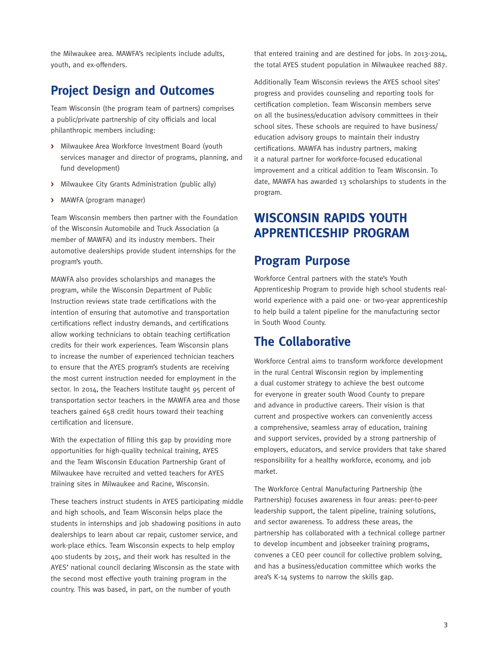the Milwaukee area. MAWFA's recipients include adults, youth, and ex-offenders.

#### **Project Design and Outcomes**

Team Wisconsin (the program team of partners) comprises a public/private partnership of city officials and local philanthropic members including:

- **>** Milwaukee Area Workforce Investment Board (youth services manager and director of programs, planning, and fund development)
- **>** Milwaukee City Grants Administration (public ally)
- **>** MAWFA (program manager)

Team Wisconsin members then partner with the Foundation of the Wisconsin Automobile and Truck Association (a member of MAWFA) and its industry members. Their automotive dealerships provide student internships for the program's youth.

MAWFA also provides scholarships and manages the program, while the Wisconsin Department of Public Instruction reviews state trade certifications with the intention of ensuring that automotive and transportation certifications reflect industry demands, and certifications allow working technicians to obtain teaching certification credits for their work experiences. Team Wisconsin plans to increase the number of experienced technician teachers to ensure that the AYES program's students are receiving the most current instruction needed for employment in the sector. In 2014, the Teachers Institute taught 95 percent of transportation sector teachers in the MAWFA area and those teachers gained 658 credit hours toward their teaching certification and licensure.

With the expectation of filling this gap by providing more opportunities for high-quality technical training, AYES and the Team Wisconsin Education Partnership Grant of Milwaukee have recruited and vetted teachers for AYES training sites in Milwaukee and Racine, Wisconsin.

These teachers instruct students in AYES participating middle and high schools, and Team Wisconsin helps place the students in internships and job shadowing positions in auto dealerships to learn about car repair, customer service, and work-place ethics. Team Wisconsin expects to help employ 400 students by 2015, and their work has resulted in the AYES' national council declaring Wisconsin as the state with the second most effective youth training program in the country. This was based, in part, on the number of youth

that entered training and are destined for jobs. In 2013-2014, the total AYES student population in Milwaukee reached 887.

Additionally Team Wisconsin reviews the AYES school sites' progress and provides counseling and reporting tools for certification completion. Team Wisconsin members serve on all the business/education advisory committees in their school sites. These schools are required to have business/ education advisory groups to maintain their industry certifications. MAWFA has industry partners, making it a natural partner for workforce-focused educational improvement and a critical addition to Team Wisconsin. To date, MAWFA has awarded 13 scholarships to students in the program.

#### **WISCONSIN RAPIDS YOUTH APPRENTICESHIP PROGRAM**

#### **Program Purpose**

Workforce Central partners with the state's Youth Apprenticeship Program to provide high school students realworld experience with a paid one- or two-year apprenticeship to help build a talent pipeline for the manufacturing sector in South Wood County.

#### **The Collaborative**

Workforce Central aims to transform workforce development in the rural Central Wisconsin region by implementing a dual customer strategy to achieve the best outcome for everyone in greater south Wood County to prepare and advance in productive careers. Their vision is that current and prospective workers can conveniently access a comprehensive, seamless array of education, training and support services, provided by a strong partnership of employers, educators, and service providers that take shared responsibility for a healthy workforce, economy, and job market.

The Workforce Central Manufacturing Partnership (the Partnership) focuses awareness in four areas: peer-to-peer leadership support, the talent pipeline, training solutions, and sector awareness. To address these areas, the partnership has collaborated with a technical college partner to develop incumbent and jobseeker training programs, convenes a CEO peer council for collective problem solving, and has a business/education committee which works the area's K-14 systems to narrow the skills gap.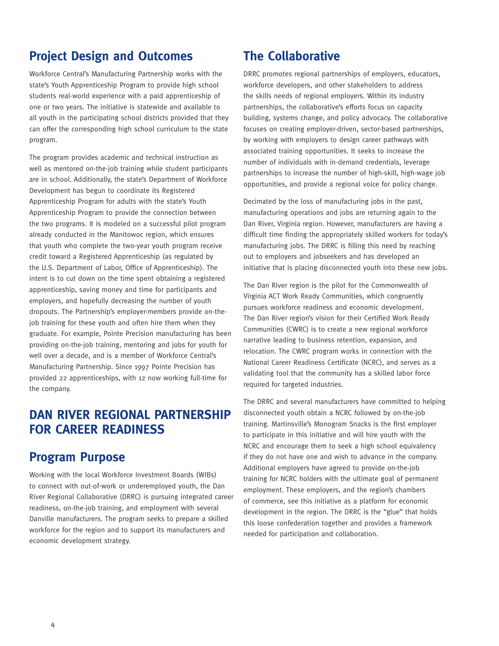#### **Project Design and Outcomes**

Workforce Central's Manufacturing Partnership works with the state's Youth Apprenticeship Program to provide high school students real-world experience with a paid apprenticeship of one or two years. The initiative is statewide and available to all youth in the participating school districts provided that they can offer the corresponding high school curriculum to the state program.

The program provides academic and technical instruction as well as mentored on-the-job training while student participants are in school. Additionally, the state's Department of Workforce Development has begun to coordinate its Registered Apprenticeship Program for adults with the state's Youth Apprenticeship Program to provide the connection between the two programs. It is modeled on a successful pilot program already conducted in the Manitowoc region, which ensures that youth who complete the two-year youth program receive credit toward a Registered Apprenticeship (as regulated by the U.S. Department of Labor, Office of Apprenticeship). The intent is to cut down on the time spent obtaining a registered apprenticeship, saving money and time for participants and employers, and hopefully decreasing the number of youth dropouts. The Partnership's employer-members provide on-thejob training for these youth and often hire them when they graduate. For example, Pointe Precision manufacturing has been providing on-the-job training, mentoring and jobs for youth for well over a decade, and is a member of Workforce Central's Manufacturing Partnership. Since 1997 Pointe Precision has provided 22 apprenticeships, with 12 now working full-time for the company.

#### **DAN RIVER REGIONAL PARTNERSHIP FOR CAREER READINESS**

#### **Program Purpose**

Working with the local Workforce Investment Boards (WIBs) to connect with out-of-work or underemployed youth, the Dan River Regional Collaborative (DRRC) is pursuing integrated career readiness, on-the-job training, and employment with several Danville manufacturers. The program seeks to prepare a skilled workforce for the region and to support its manufacturers and economic development strategy.

#### **The Collaborative**

DRRC promotes regional partnerships of employers, educators, workforce developers, and other stakeholders to address the skills needs of regional employers. Within its industry partnerships, the collaborative's efforts focus on capacity building, systems change, and policy advocacy. The collaborative focuses on creating employer-driven, sector-based partnerships, by working with employers to design career pathways with associated training opportunities. It seeks to increase the number of individuals with in-demand credentials, leverage partnerships to increase the number of high-skill, high-wage job opportunities, and provide a regional voice for policy change.

Decimated by the loss of manufacturing jobs in the past, manufacturing operations and jobs are returning again to the Dan River, Virginia region. However, manufacturers are having a difficult time finding the appropriately skilled workers for today's manufacturing jobs. The DRRC is filling this need by reaching out to employers and jobseekers and has developed an initiative that is placing disconnected youth into these new jobs.

The Dan River region is the pilot for the Commonwealth of Virginia ACT Work Ready Communities, which congruently pursues workforce readiness and economic development. The Dan River region's vision for their Certified Work Ready Communities (CWRC) is to create a new regional workforce narrative leading to business retention, expansion, and relocation. The CWRC program works in connection with the National Career Readiness Certificate (NCRC), and serves as a validating tool that the community has a skilled labor force required for targeted industries.

The DRRC and several manufacturers have committed to helping disconnected youth obtain a NCRC followed by on-the-job training. Martinsville's Monogram Snacks is the first employer to participate in this initiative and will hire youth with the NCRC and encourage them to seek a high school equivalency if they do not have one and wish to advance in the company. Additional employers have agreed to provide on-the-job training for NCRC holders with the ultimate goal of permanent employment. These employers, and the region's chambers of commerce, see this initiative as a platform for economic development in the region. The DRRC is the "glue" that holds this loose confederation together and provides a framework needed for participation and collaboration.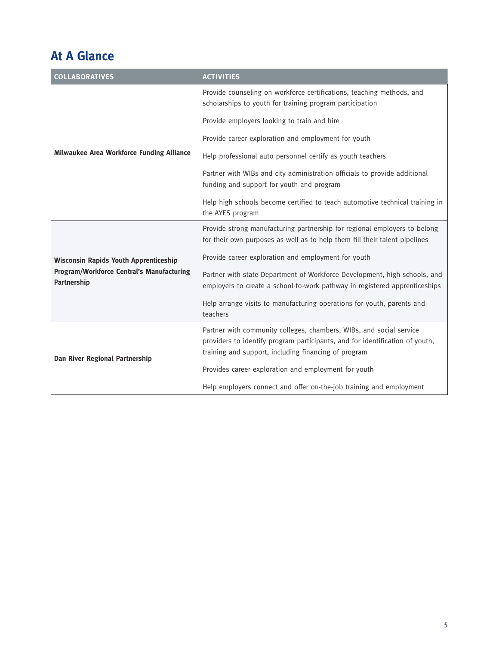### **At A Glance**

| <b>COLLABORATIVES</b>                                                                                           | <b>ACTIVITIES</b>                                                                                                                                                                                           |
|-----------------------------------------------------------------------------------------------------------------|-------------------------------------------------------------------------------------------------------------------------------------------------------------------------------------------------------------|
| Milwaukee Area Workforce Funding Alliance                                                                       | Provide counseling on workforce certifications, teaching methods, and<br>scholarships to youth for training program participation                                                                           |
|                                                                                                                 | Provide employers looking to train and hire                                                                                                                                                                 |
|                                                                                                                 | Provide career exploration and employment for youth                                                                                                                                                         |
|                                                                                                                 | Help professional auto personnel certify as youth teachers                                                                                                                                                  |
|                                                                                                                 | Partner with WIBs and city administration officials to provide additional<br>funding and support for youth and program                                                                                      |
|                                                                                                                 | Help high schools become certified to teach automotive technical training in<br>the AYES program                                                                                                            |
| <b>Wisconsin Rapids Youth Apprenticeship</b><br><b>Program/Workforce Central's Manufacturing</b><br>Partnership | Provide strong manufacturing partnership for regional employers to belong<br>for their own purposes as well as to help them fill their talent pipelines                                                     |
|                                                                                                                 | Provide career exploration and employment for youth                                                                                                                                                         |
|                                                                                                                 | Partner with state Department of Workforce Development, high schools, and<br>employers to create a school-to-work pathway in registered apprenticeships                                                     |
|                                                                                                                 | Help arrange visits to manufacturing operations for youth, parents and<br>teachers                                                                                                                          |
| Dan River Regional Partnership                                                                                  | Partner with community colleges, chambers, WIBs, and social service<br>providers to identify program participants, and for identification of youth,<br>training and support, including financing of program |
|                                                                                                                 | Provides career exploration and employment for youth                                                                                                                                                        |
|                                                                                                                 | Help employers connect and offer on-the-job training and employment                                                                                                                                         |